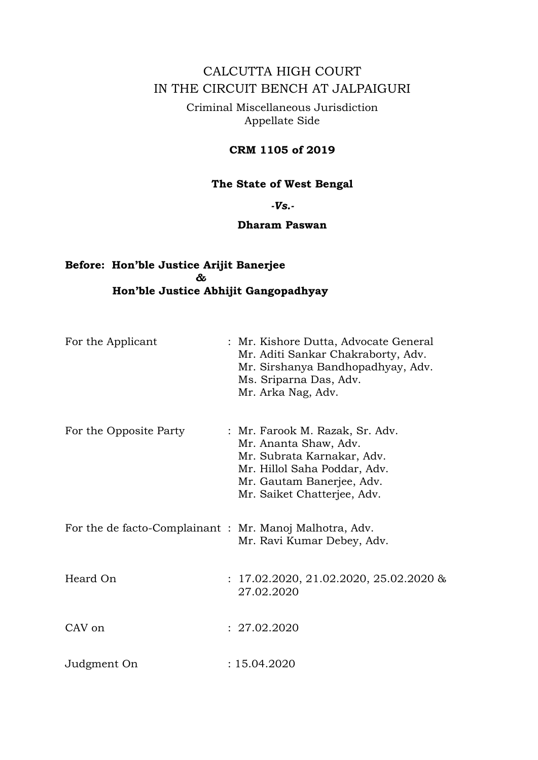# CALCUTTA HIGH COURT IN THE CIRCUIT BENCH AT JALPAIGURI

Criminal Miscellaneous Jurisdiction Appellate Side

## **CRM 1105 of 2019**

## **The State of West Bengal**

*-Vs.-*

## **Dharam Paswan**

## **Before: Hon'ble Justice Arijit Banerjee** *&*  **Hon'ble Justice Abhijit Gangopadhyay**

| For the Applicant                                       | : Mr. Kishore Dutta, Advocate General<br>Mr. Aditi Sankar Chakraborty, Adv.<br>Mr. Sirshanya Bandhopadhyay, Adv.<br>Ms. Sriparna Das, Adv.<br>Mr. Arka Nag, Adv.                   |
|---------------------------------------------------------|------------------------------------------------------------------------------------------------------------------------------------------------------------------------------------|
| For the Opposite Party                                  | : Mr. Farook M. Razak, Sr. Adv.<br>Mr. Ananta Shaw, Adv.<br>Mr. Subrata Karnakar, Adv.<br>Mr. Hillol Saha Poddar, Adv.<br>Mr. Gautam Banerjee, Adv.<br>Mr. Saiket Chatterjee, Adv. |
| For the de facto-Complainant : Mr. Manoj Malhotra, Adv. | Mr. Ravi Kumar Debey, Adv.                                                                                                                                                         |
| Heard On                                                | $: 17.02.2020, 21.02.2020, 25.02.2020 \&$<br>27.02.2020                                                                                                                            |
| CAV on                                                  | : 27.02.2020                                                                                                                                                                       |
| Judgment On                                             | : 15.04.2020                                                                                                                                                                       |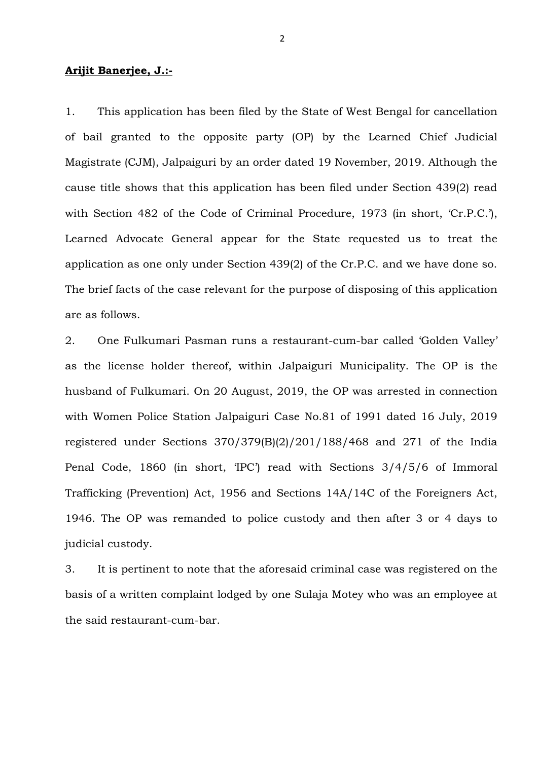### **Arijit Banerjee, J.:-**

1. This application has been filed by the State of West Bengal for cancellation of bail granted to the opposite party (OP) by the Learned Chief Judicial Magistrate (CJM), Jalpaiguri by an order dated 19 November, 2019. Although the cause title shows that this application has been filed under Section 439(2) read with Section 482 of the Code of Criminal Procedure, 1973 (in short, 'Cr.P.C.'), Learned Advocate General appear for the State requested us to treat the application as one only under Section 439(2) of the Cr.P.C. and we have done so. The brief facts of the case relevant for the purpose of disposing of this application are as follows.

2. One Fulkumari Pasman runs a restaurant-cum-bar called 'Golden Valley' as the license holder thereof, within Jalpaiguri Municipality. The OP is the husband of Fulkumari. On 20 August, 2019, the OP was arrested in connection with Women Police Station Jalpaiguri Case No.81 of 1991 dated 16 July, 2019 registered under Sections 370/379(B)(2)/201/188/468 and 271 of the India Penal Code, 1860 (in short, 'IPC') read with Sections 3/4/5/6 of Immoral Trafficking (Prevention) Act, 1956 and Sections 14A/14C of the Foreigners Act, 1946. The OP was remanded to police custody and then after 3 or 4 days to judicial custody.

3. It is pertinent to note that the aforesaid criminal case was registered on the basis of a written complaint lodged by one Sulaja Motey who was an employee at the said restaurant-cum-bar.

2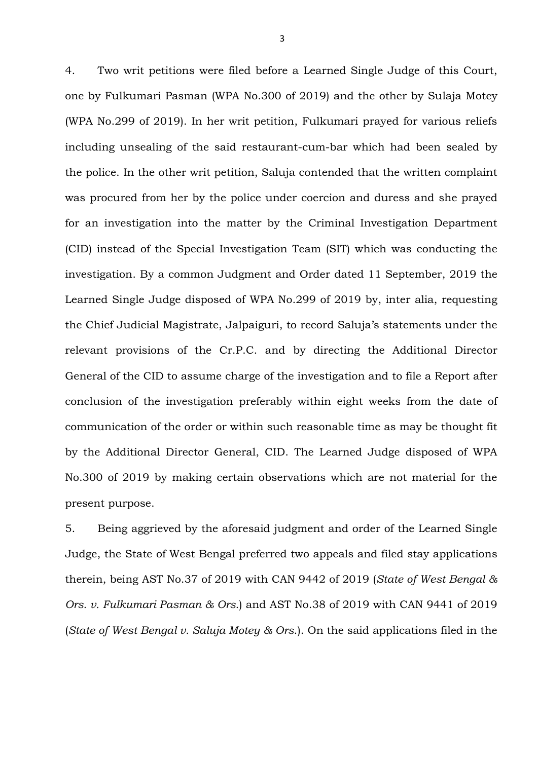4. Two writ petitions were filed before a Learned Single Judge of this Court, one by Fulkumari Pasman (WPA No.300 of 2019) and the other by Sulaja Motey (WPA No.299 of 2019). In her writ petition, Fulkumari prayed for various reliefs including unsealing of the said restaurant-cum-bar which had been sealed by the police. In the other writ petition, Saluja contended that the written complaint was procured from her by the police under coercion and duress and she prayed for an investigation into the matter by the Criminal Investigation Department (CID) instead of the Special Investigation Team (SIT) which was conducting the investigation. By a common Judgment and Order dated 11 September, 2019 the Learned Single Judge disposed of WPA No.299 of 2019 by, inter alia, requesting the Chief Judicial Magistrate, Jalpaiguri, to record Saluja's statements under the relevant provisions of the Cr.P.C. and by directing the Additional Director General of the CID to assume charge of the investigation and to file a Report after conclusion of the investigation preferably within eight weeks from the date of communication of the order or within such reasonable time as may be thought fit by the Additional Director General, CID. The Learned Judge disposed of WPA No.300 of 2019 by making certain observations which are not material for the present purpose.

5. Being aggrieved by the aforesaid judgment and order of the Learned Single Judge, the State of West Bengal preferred two appeals and filed stay applications therein, being AST No.37 of 2019 with CAN 9442 of 2019 (*State of West Bengal & Ors. v. Fulkumari Pasman & Ors.*) and AST No.38 of 2019 with CAN 9441 of 2019 (*State of West Bengal v. Saluja Motey & Ors*.). On the said applications filed in the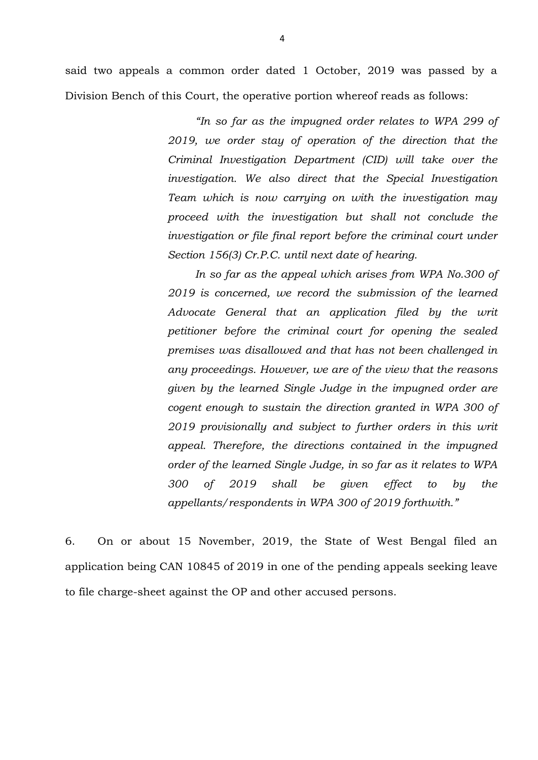said two appeals a common order dated 1 October, 2019 was passed by a Division Bench of this Court, the operative portion whereof reads as follows:

> *"In so far as the impugned order relates to WPA 299 of 2019, we order stay of operation of the direction that the Criminal Investigation Department (CID) will take over the investigation. We also direct that the Special Investigation Team which is now carrying on with the investigation may proceed with the investigation but shall not conclude the investigation or file final report before the criminal court under Section 156(3) Cr.P.C. until next date of hearing.*

> *In so far as the appeal which arises from WPA No.300 of 2019 is concerned, we record the submission of the learned Advocate General that an application filed by the writ petitioner before the criminal court for opening the sealed premises was disallowed and that has not been challenged in any proceedings. However, we are of the view that the reasons given by the learned Single Judge in the impugned order are cogent enough to sustain the direction granted in WPA 300 of 2019 provisionally and subject to further orders in this writ appeal. Therefore, the directions contained in the impugned order of the learned Single Judge, in so far as it relates to WPA 300 of 2019 shall be given effect to by the appellants/respondents in WPA 300 of 2019 forthwith."*

6. On or about 15 November, 2019, the State of West Bengal filed an application being CAN 10845 of 2019 in one of the pending appeals seeking leave to file charge-sheet against the OP and other accused persons.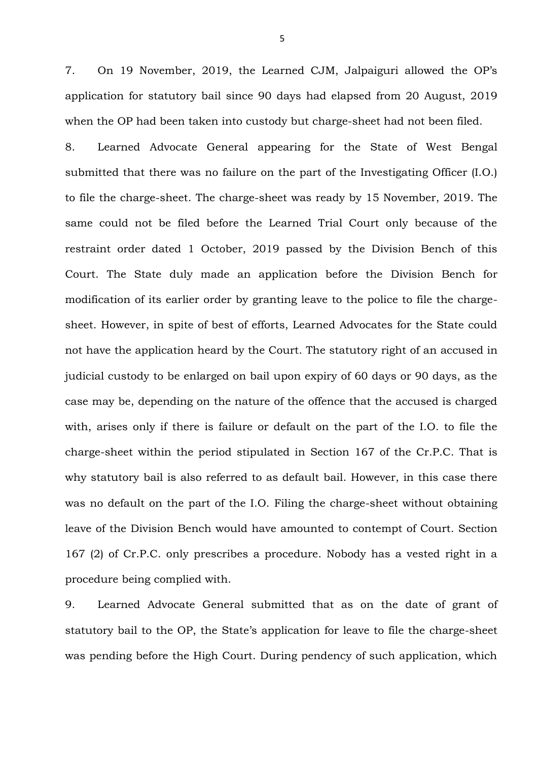7. On 19 November, 2019, the Learned CJM, Jalpaiguri allowed the OP's application for statutory bail since 90 days had elapsed from 20 August, 2019 when the OP had been taken into custody but charge-sheet had not been filed.

8. Learned Advocate General appearing for the State of West Bengal submitted that there was no failure on the part of the Investigating Officer (I.O.) to file the charge-sheet. The charge-sheet was ready by 15 November, 2019. The same could not be filed before the Learned Trial Court only because of the restraint order dated 1 October, 2019 passed by the Division Bench of this Court. The State duly made an application before the Division Bench for modification of its earlier order by granting leave to the police to file the chargesheet. However, in spite of best of efforts, Learned Advocates for the State could not have the application heard by the Court. The statutory right of an accused in judicial custody to be enlarged on bail upon expiry of 60 days or 90 days, as the case may be, depending on the nature of the offence that the accused is charged with, arises only if there is failure or default on the part of the I.O. to file the charge-sheet within the period stipulated in Section 167 of the Cr.P.C. That is why statutory bail is also referred to as default bail. However, in this case there was no default on the part of the I.O. Filing the charge-sheet without obtaining leave of the Division Bench would have amounted to contempt of Court. Section 167 (2) of Cr.P.C. only prescribes a procedure. Nobody has a vested right in a procedure being complied with.

9. Learned Advocate General submitted that as on the date of grant of statutory bail to the OP, the State's application for leave to file the charge-sheet was pending before the High Court. During pendency of such application, which

5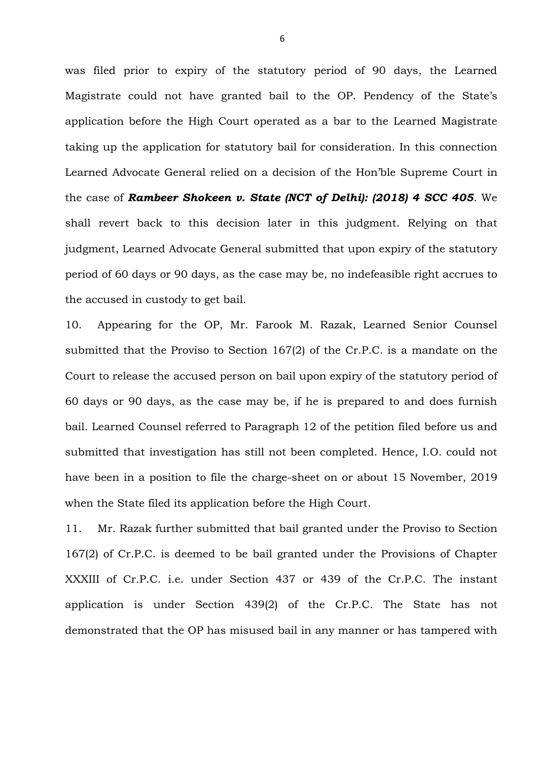was filed prior to expiry of the statutory period of 90 days, the Learned Magistrate could not have granted bail to the OP. Pendency of the State's application before the High Court operated as a bar to the Learned Magistrate taking up the application for statutory bail for consideration. In this connection Learned Advocate General relied on a decision of the Hon'ble Supreme Court in the case of *Rambeer Shokeen v. State (NCT of Delhi): (2018) 4 SCC 405*. We shall revert back to this decision later in this judgment. Relying on that judgment, Learned Advocate General submitted that upon expiry of the statutory period of 60 days or 90 days, as the case may be, no indefeasible right accrues to the accused in custody to get bail.

10. Appearing for the OP, Mr. Farook M. Razak, Learned Senior Counsel submitted that the Proviso to Section 167(2) of the Cr.P.C. is a mandate on the Court to release the accused person on bail upon expiry of the statutory period of 60 days or 90 days, as the case may be, if he is prepared to and does furnish bail. Learned Counsel referred to Paragraph 12 of the petition filed before us and submitted that investigation has still not been completed. Hence, I.O. could not have been in a position to file the charge-sheet on or about 15 November, 2019 when the State filed its application before the High Court.

11. Mr. Razak further submitted that bail granted under the Proviso to Section 167(2) of Cr.P.C. is deemed to be bail granted under the Provisions of Chapter XXXIII of Cr.P.C. i.e. under Section 437 or 439 of the Cr.P.C. The instant application is under Section 439(2) of the Cr.P.C. The State has not demonstrated that the OP has misused bail in any manner or has tampered with

6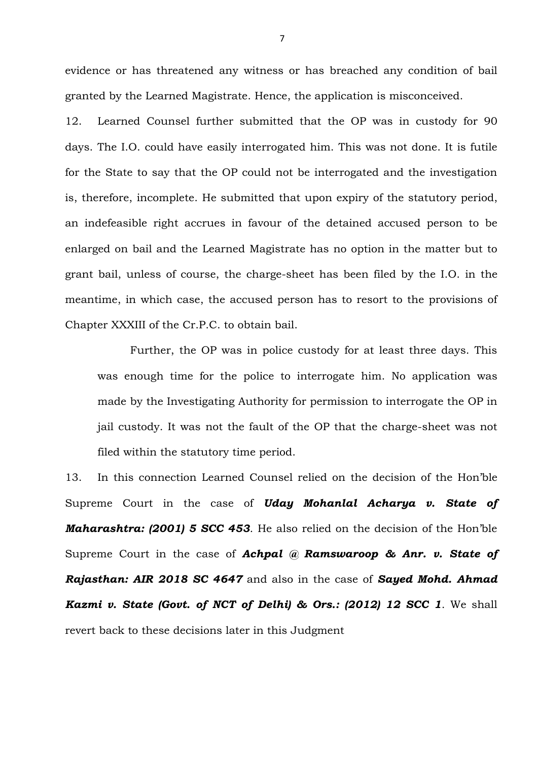evidence or has threatened any witness or has breached any condition of bail granted by the Learned Magistrate. Hence, the application is misconceived.

12. Learned Counsel further submitted that the OP was in custody for 90 days. The I.O. could have easily interrogated him. This was not done. It is futile for the State to say that the OP could not be interrogated and the investigation is, therefore, incomplete. He submitted that upon expiry of the statutory period, an indefeasible right accrues in favour of the detained accused person to be enlarged on bail and the Learned Magistrate has no option in the matter but to grant bail, unless of course, the charge-sheet has been filed by the I.O. in the meantime, in which case, the accused person has to resort to the provisions of Chapter XXXIII of the Cr.P.C. to obtain bail.

Further, the OP was in police custody for at least three days. This was enough time for the police to interrogate him. No application was made by the Investigating Authority for permission to interrogate the OP in jail custody. It was not the fault of the OP that the charge-sheet was not filed within the statutory time period.

13. In this connection Learned Counsel relied on the decision of the Hon'ble Supreme Court in the case of *Uday Mohanlal Acharya v. State of Maharashtra: (2001) 5 SCC 453*. He also relied on the decision of the Hon'ble Supreme Court in the case of *Achpal @ Ramswaroop & Anr. v. State of Rajasthan: AIR 2018 SC 4647* and also in the case of *Sayed Mohd. Ahmad Kazmi v. State (Govt. of NCT of Delhi) & Ors.: (2012) 12 SCC 1*. We shall revert back to these decisions later in this Judgment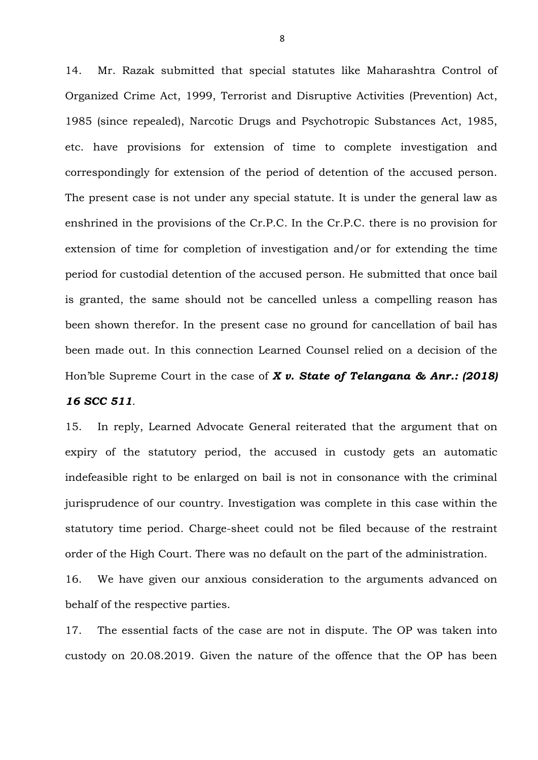14. Mr. Razak submitted that special statutes like Maharashtra Control of Organized Crime Act, 1999, Terrorist and Disruptive Activities (Prevention) Act, 1985 (since repealed), Narcotic Drugs and Psychotropic Substances Act, 1985, etc. have provisions for extension of time to complete investigation and correspondingly for extension of the period of detention of the accused person. The present case is not under any special statute. It is under the general law as enshrined in the provisions of the Cr.P.C. In the Cr.P.C. there is no provision for extension of time for completion of investigation and/or for extending the time period for custodial detention of the accused person. He submitted that once bail is granted, the same should not be cancelled unless a compelling reason has been shown therefor. In the present case no ground for cancellation of bail has been made out. In this connection Learned Counsel relied on a decision of the Hon'ble Supreme Court in the case of *X v. State of Telangana & Anr.: (2018)* 

*16 SCC 511*.

15. In reply, Learned Advocate General reiterated that the argument that on expiry of the statutory period, the accused in custody gets an automatic indefeasible right to be enlarged on bail is not in consonance with the criminal jurisprudence of our country. Investigation was complete in this case within the statutory time period. Charge-sheet could not be filed because of the restraint order of the High Court. There was no default on the part of the administration.

16. We have given our anxious consideration to the arguments advanced on behalf of the respective parties.

17. The essential facts of the case are not in dispute. The OP was taken into custody on 20.08.2019. Given the nature of the offence that the OP has been

8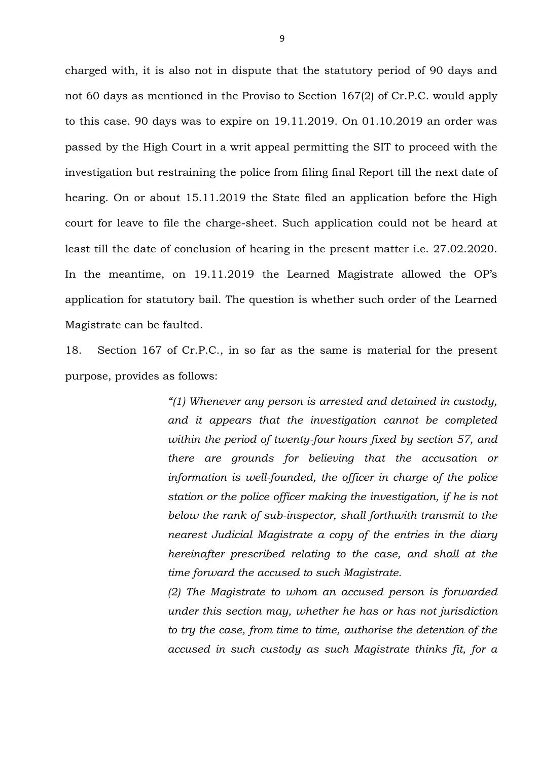charged with, it is also not in dispute that the statutory period of 90 days and not 60 days as mentioned in the Proviso to Section 167(2) of Cr.P.C. would apply to this case. 90 days was to expire on 19.11.2019. On 01.10.2019 an order was passed by the High Court in a writ appeal permitting the SIT to proceed with the investigation but restraining the police from filing final Report till the next date of hearing. On or about 15.11.2019 the State filed an application before the High court for leave to file the charge-sheet. Such application could not be heard at least till the date of conclusion of hearing in the present matter i.e. 27.02.2020. In the meantime, on 19.11.2019 the Learned Magistrate allowed the OP's application for statutory bail. The question is whether such order of the Learned Magistrate can be faulted.

18. Section 167 of Cr.P.C., in so far as the same is material for the present purpose, provides as follows:

> *"(1) Whenever any person is arrested and detained in custody, and it appears that the investigation cannot be completed within the period of twenty-four hours fixed by section 57, and there are grounds for believing that the accusation or information is well-founded, the officer in charge of the police station or the police officer making the investigation, if he is not below the rank of sub-inspector, shall forthwith transmit to the nearest Judicial Magistrate a copy of the entries in the diary hereinafter prescribed relating to the case, and shall at the time forward the accused to such Magistrate.*

> *(2) The Magistrate to whom an accused person is forwarded under this section may, whether he has or has not jurisdiction to try the case, from time to time, authorise the detention of the accused in such custody as such Magistrate thinks fit, for a*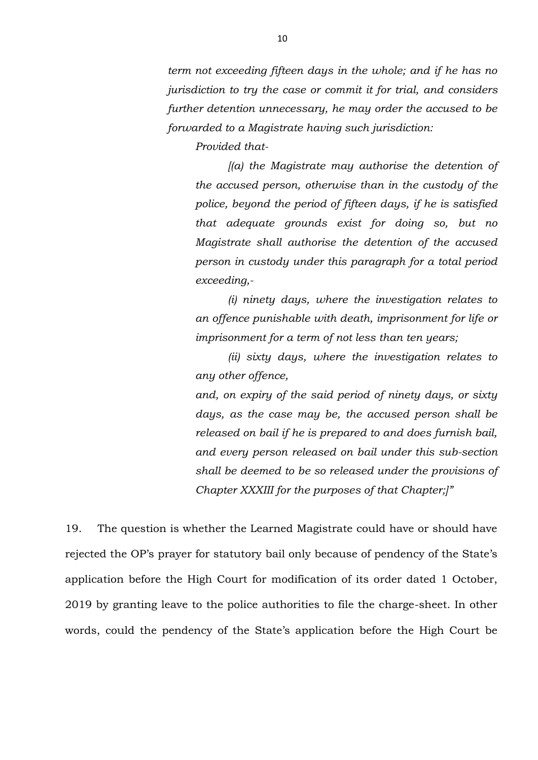*term not exceeding fifteen days in the whole; and if he has no jurisdiction to try the case or commit it for trial, and considers further detention unnecessary, he may order the accused to be forwarded to a Magistrate having such jurisdiction:*

*Provided that-*

*[(a) the Magistrate may authorise the detention of the accused person, otherwise than in the custody of the police, beyond the period of fifteen days, if he is satisfied that adequate grounds exist for doing so, but no Magistrate shall authorise the detention of the accused person in custody under this paragraph for a total period exceeding,-*

*(i) ninety days, where the investigation relates to an offence punishable with death, imprisonment for life or imprisonment for a term of not less than ten years;*

*(ii) sixty days, where the investigation relates to any other offence,*

*and, on expiry of the said period of ninety days, or sixty days, as the case may be, the accused person shall be released on bail if he is prepared to and does furnish bail, and every person released on bail under this sub-section shall be deemed to be so released under the provisions of Chapter XXXIII for the purposes of that Chapter;]"*

19. The question is whether the Learned Magistrate could have or should have rejected the OP's prayer for statutory bail only because of pendency of the State's application before the High Court for modification of its order dated 1 October, 2019 by granting leave to the police authorities to file the charge-sheet. In other words, could the pendency of the State's application before the High Court be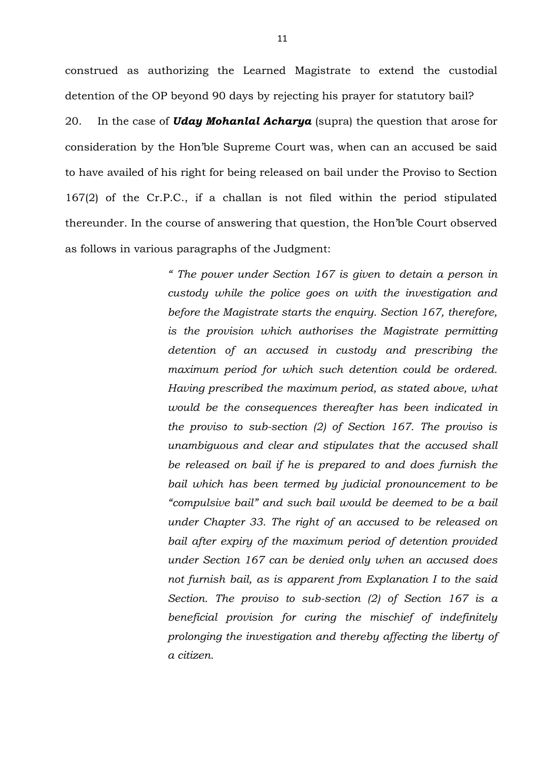construed as authorizing the Learned Magistrate to extend the custodial detention of the OP beyond 90 days by rejecting his prayer for statutory bail? 20. In the case of *Uday Mohanlal Acharya* (supra) the question that arose for consideration by the Hon'ble Supreme Court was, when can an accused be said to have availed of his right for being released on bail under the Proviso to Section 167(2) of the Cr.P.C., if a challan is not filed within the period stipulated thereunder. In the course of answering that question, the Hon'ble Court observed as follows in various paragraphs of the Judgment:

> *" The power under Section 167 is given to detain a person in custody while the police goes on with the investigation and before the Magistrate starts the enquiry. Section 167, therefore, is the provision which authorises the Magistrate permitting detention of an accused in custody and prescribing the maximum period for which such detention could be ordered. Having prescribed the maximum period, as stated above, what would be the consequences thereafter has been indicated in the proviso to sub-section (2) of Section 167. The proviso is unambiguous and clear and stipulates that the accused shall be released on bail if he is prepared to and does furnish the bail which has been termed by judicial pronouncement to be "compulsive bail" and such bail would be deemed to be a bail under Chapter 33. The right of an accused to be released on bail after expiry of the maximum period of detention provided under Section 167 can be denied only when an accused does not furnish bail, as is apparent from Explanation I to the said Section. The proviso to sub-section (2) of Section 167 is a beneficial provision for curing the mischief of indefinitely prolonging the investigation and thereby affecting the liberty of a citizen.*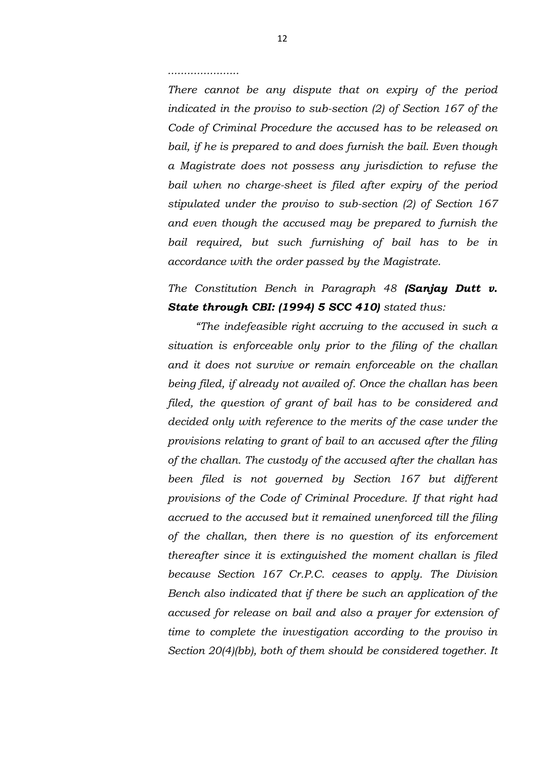#### *......................*

*There cannot be any dispute that on expiry of the period indicated in the proviso to sub-section (2) of Section 167 of the Code of Criminal Procedure the accused has to be released on bail, if he is prepared to and does furnish the bail. Even though a Magistrate does not possess any jurisdiction to refuse the bail when no charge-sheet is filed after expiry of the period stipulated under the proviso to sub-section (2) of Section 167 and even though the accused may be prepared to furnish the bail required, but such furnishing of bail has to be in accordance with the order passed by the Magistrate.*

# *The Constitution Bench in Paragraph 48 (Sanjay Dutt v. State through CBI: (1994) 5 SCC 410) stated thus:*

*"The indefeasible right accruing to the accused in such a situation is enforceable only prior to the filing of the challan and it does not survive or remain enforceable on the challan being filed, if already not availed of. Once the challan has been filed, the question of grant of bail has to be considered and decided only with reference to the merits of the case under the provisions relating to grant of bail to an accused after the filing of the challan. The custody of the accused after the challan has been filed is not governed by Section 167 but different provisions of the Code of Criminal Procedure. If that right had accrued to the accused but it remained unenforced till the filing of the challan, then there is no question of its enforcement thereafter since it is extinguished the moment challan is filed because Section 167 Cr.P.C. ceases to apply. The Division Bench also indicated that if there be such an application of the accused for release on bail and also a prayer for extension of time to complete the investigation according to the proviso in Section 20(4)(bb), both of them should be considered together. It*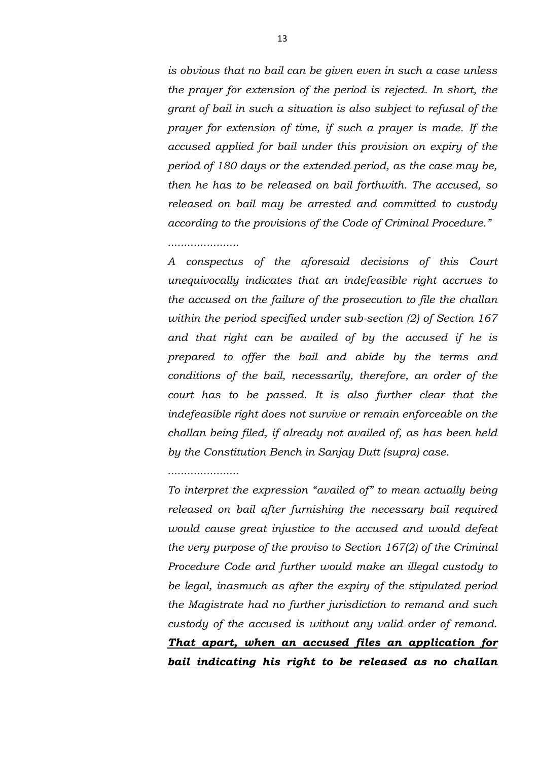*is obvious that no bail can be given even in such a case unless the prayer for extension of the period is rejected. In short, the grant of bail in such a situation is also subject to refusal of the prayer for extension of time, if such a prayer is made. If the accused applied for bail under this provision on expiry of the period of 180 days or the extended period, as the case may be, then he has to be released on bail forthwith. The accused, so released on bail may be arrested and committed to custody according to the provisions of the Code of Criminal Procedure."*

### *......................*

*A conspectus of the aforesaid decisions of this Court unequivocally indicates that an indefeasible right accrues to the accused on the failure of the prosecution to file the challan within the period specified under sub-section (2) of Section 167 and that right can be availed of by the accused if he is prepared to offer the bail and abide by the terms and conditions of the bail, necessarily, therefore, an order of the court has to be passed. It is also further clear that the indefeasible right does not survive or remain enforceable on the challan being filed, if already not availed of, as has been held by the Constitution Bench in Sanjay Dutt (supra) case.*

### *......................*

*To interpret the expression "availed of" to mean actually being released on bail after furnishing the necessary bail required would cause great injustice to the accused and would defeat the very purpose of the proviso to Section 167(2) of the Criminal Procedure Code and further would make an illegal custody to be legal, inasmuch as after the expiry of the stipulated period the Magistrate had no further jurisdiction to remand and such custody of the accused is without any valid order of remand. That apart, when an accused files an application for bail indicating his right to be released as no challan*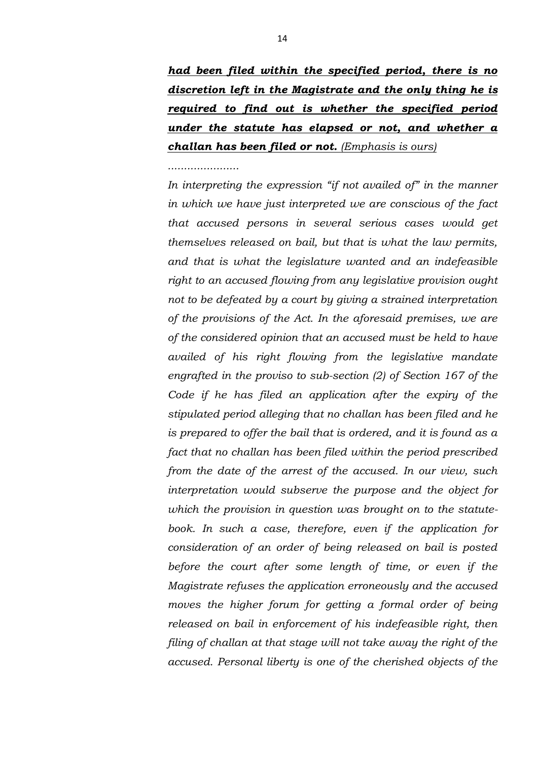*had been filed within the specified period, there is no discretion left in the Magistrate and the only thing he is required to find out is whether the specified period under the statute has elapsed or not, and whether a challan has been filed or not. (Emphasis is ours)*

#### *......................*

*In interpreting the expression "if not availed of" in the manner in which we have just interpreted we are conscious of the fact that accused persons in several serious cases would get themselves released on bail, but that is what the law permits, and that is what the legislature wanted and an indefeasible right to an accused flowing from any legislative provision ought not to be defeated by a court by giving a strained interpretation of the provisions of the Act. In the aforesaid premises, we are of the considered opinion that an accused must be held to have availed of his right flowing from the legislative mandate engrafted in the proviso to sub-section (2) of Section 167 of the Code if he has filed an application after the expiry of the stipulated period alleging that no challan has been filed and he is prepared to offer the bail that is ordered, and it is found as a fact that no challan has been filed within the period prescribed from the date of the arrest of the accused. In our view, such interpretation would subserve the purpose and the object for which the provision in question was brought on to the statutebook. In such a case, therefore, even if the application for consideration of an order of being released on bail is posted before the court after some length of time, or even if the Magistrate refuses the application erroneously and the accused moves the higher forum for getting a formal order of being released on bail in enforcement of his indefeasible right, then filing of challan at that stage will not take away the right of the accused. Personal liberty is one of the cherished objects of the*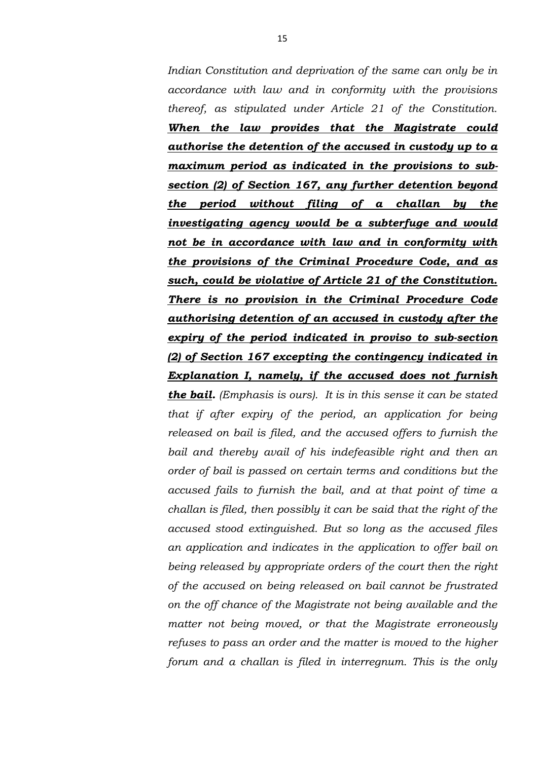*Indian Constitution and deprivation of the same can only be in accordance with law and in conformity with the provisions thereof, as stipulated under Article 21 of the Constitution. When the law provides that the Magistrate could authorise the detention of the accused in custody up to a maximum period as indicated in the provisions to subsection (2) of Section 167, any further detention beyond the period without filing of a challan by the investigating agency would be a subterfuge and would not be in accordance with law and in conformity with the provisions of the Criminal Procedure Code, and as such, could be violative of Article 21 of the Constitution. There is no provision in the Criminal Procedure Code authorising detention of an accused in custody after the expiry of the period indicated in proviso to sub-section (2) of Section 167 excepting the contingency indicated in Explanation I, namely, if the accused does not furnish the bail. (Emphasis is ours). It is in this sense it can be stated that if after expiry of the period, an application for being released on bail is filed, and the accused offers to furnish the bail and thereby avail of his indefeasible right and then an order of bail is passed on certain terms and conditions but the accused fails to furnish the bail, and at that point of time a challan is filed, then possibly it can be said that the right of the accused stood extinguished. But so long as the accused files an application and indicates in the application to offer bail on being released by appropriate orders of the court then the right of the accused on being released on bail cannot be frustrated* 

*on the off chance of the Magistrate not being available and the matter not being moved, or that the Magistrate erroneously refuses to pass an order and the matter is moved to the higher forum and a challan is filed in interregnum. This is the only*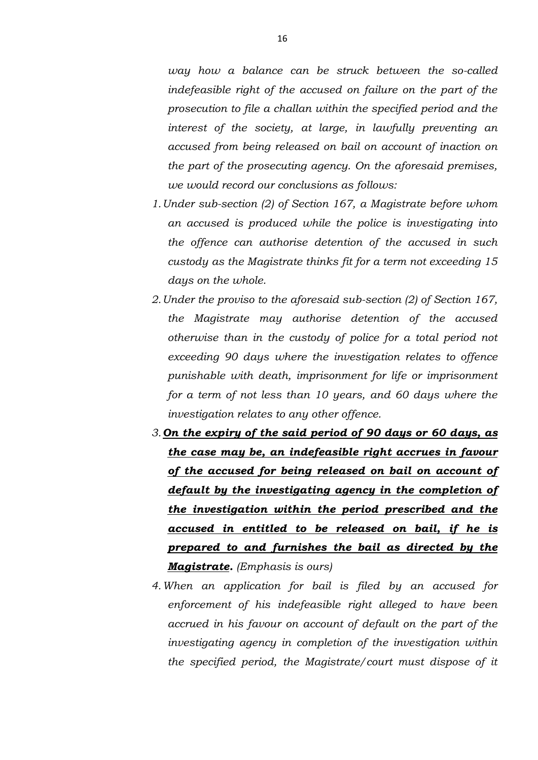*way how a balance can be struck between the so-called indefeasible right of the accused on failure on the part of the prosecution to file a challan within the specified period and the interest of the society, at large, in lawfully preventing an accused from being released on bail on account of inaction on the part of the prosecuting agency. On the aforesaid premises, we would record our conclusions as follows:*

- *1.Under sub-section (2) of Section 167, a Magistrate before whom an accused is produced while the police is investigating into the offence can authorise detention of the accused in such custody as the Magistrate thinks fit for a term not exceeding 15 days on the whole.*
- *2.Under the proviso to the aforesaid sub-section (2) of Section 167, the Magistrate may authorise detention of the accused otherwise than in the custody of police for a total period not exceeding 90 days where the investigation relates to offence punishable with death, imprisonment for life or imprisonment for a term of not less than 10 years, and 60 days where the investigation relates to any other offence.*
- *3.On the expiry of the said period of 90 days or 60 days, as the case may be, an indefeasible right accrues in favour of the accused for being released on bail on account of default by the investigating agency in the completion of the investigation within the period prescribed and the accused in entitled to be released on bail, if he is prepared to and furnishes the bail as directed by the Magistrate. (Emphasis is ours)*
- *4.When an application for bail is filed by an accused for enforcement of his indefeasible right alleged to have been accrued in his favour on account of default on the part of the investigating agency in completion of the investigation within the specified period, the Magistrate/court must dispose of it*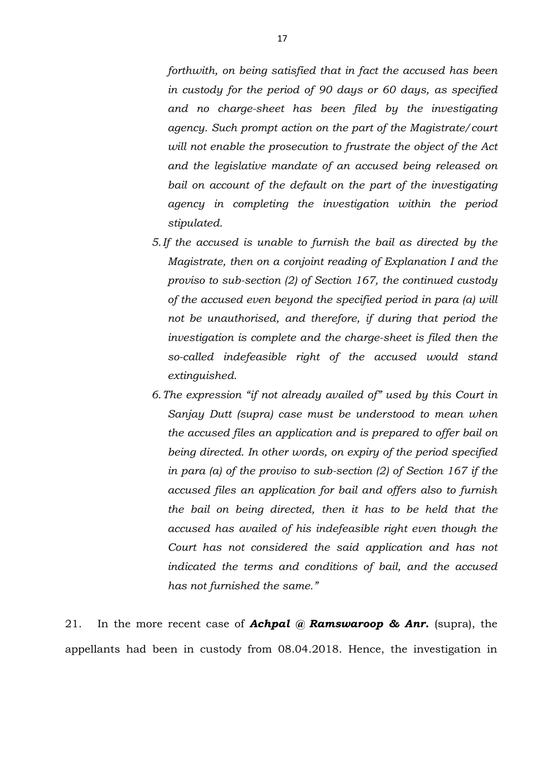*forthwith, on being satisfied that in fact the accused has been in custody for the period of 90 days or 60 days, as specified and no charge-sheet has been filed by the investigating agency. Such prompt action on the part of the Magistrate/court will not enable the prosecution to frustrate the object of the Act and the legislative mandate of an accused being released on bail on account of the default on the part of the investigating agency in completing the investigation within the period stipulated.*

- *5.If the accused is unable to furnish the bail as directed by the Magistrate, then on a conjoint reading of Explanation I and the proviso to sub-section (2) of Section 167, the continued custody of the accused even beyond the specified period in para (a) will not be unauthorised, and therefore, if during that period the investigation is complete and the charge-sheet is filed then the so-called indefeasible right of the accused would stand extinguished.*
- *6.The expression "if not already availed of" used by this Court in Sanjay Dutt (supra) case must be understood to mean when the accused files an application and is prepared to offer bail on being directed. In other words, on expiry of the period specified in para (a) of the proviso to sub-section (2) of Section 167 if the accused files an application for bail and offers also to furnish the bail on being directed, then it has to be held that the accused has availed of his indefeasible right even though the Court has not considered the said application and has not indicated the terms and conditions of bail, and the accused has not furnished the same."*

21. In the more recent case of *Achpal @ Ramswaroop & Anr.* (supra), the appellants had been in custody from 08.04.2018. Hence, the investigation in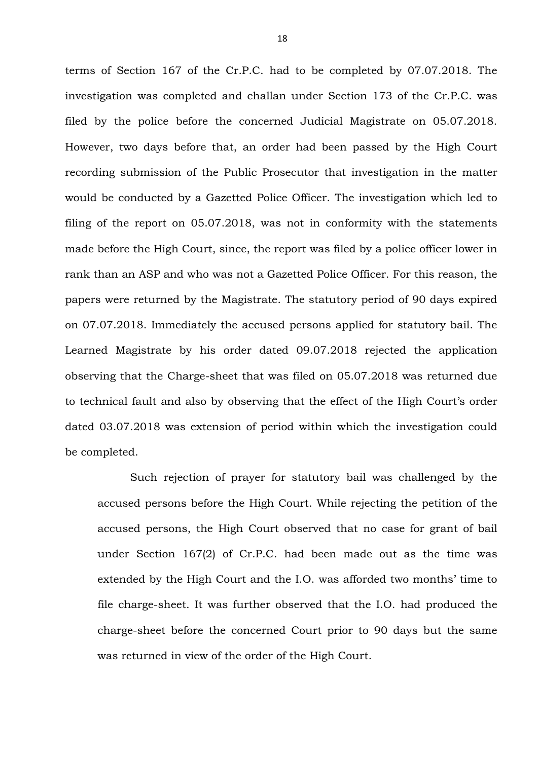terms of Section 167 of the Cr.P.C. had to be completed by 07.07.2018. The investigation was completed and challan under Section 173 of the Cr.P.C. was filed by the police before the concerned Judicial Magistrate on 05.07.2018. However, two days before that, an order had been passed by the High Court recording submission of the Public Prosecutor that investigation in the matter would be conducted by a Gazetted Police Officer. The investigation which led to filing of the report on 05.07.2018, was not in conformity with the statements made before the High Court, since, the report was filed by a police officer lower in rank than an ASP and who was not a Gazetted Police Officer. For this reason, the papers were returned by the Magistrate. The statutory period of 90 days expired on 07.07.2018. Immediately the accused persons applied for statutory bail. The Learned Magistrate by his order dated 09.07.2018 rejected the application observing that the Charge-sheet that was filed on 05.07.2018 was returned due to technical fault and also by observing that the effect of the High Court's order dated 03.07.2018 was extension of period within which the investigation could be completed.

Such rejection of prayer for statutory bail was challenged by the accused persons before the High Court. While rejecting the petition of the accused persons, the High Court observed that no case for grant of bail under Section 167(2) of Cr.P.C. had been made out as the time was extended by the High Court and the I.O. was afforded two months' time to file charge-sheet. It was further observed that the I.O. had produced the charge-sheet before the concerned Court prior to 90 days but the same was returned in view of the order of the High Court.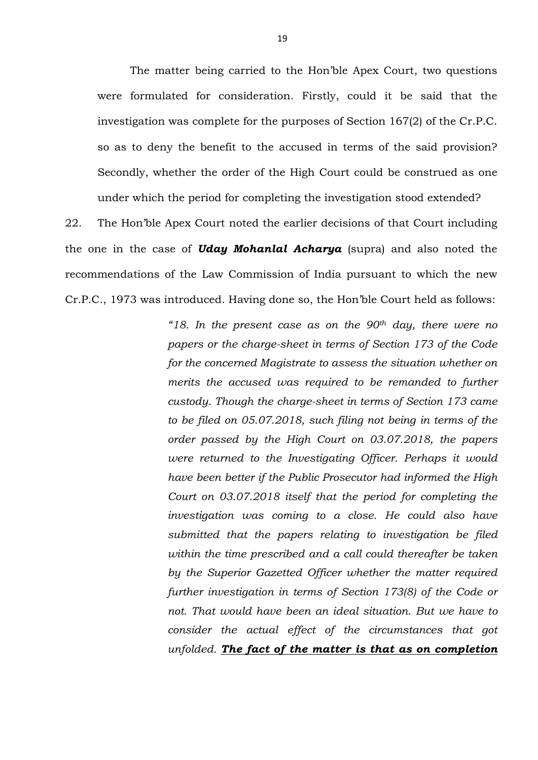The matter being carried to the Hon'ble Apex Court, two questions were formulated for consideration. Firstly, could it be said that the investigation was complete for the purposes of Section 167(2) of the Cr.P.C. so as to deny the benefit to the accused in terms of the said provision? Secondly, whether the order of the High Court could be construed as one under which the period for completing the investigation stood extended?

22. The Hon'ble Apex Court noted the earlier decisions of that Court including the one in the case of *Uday Mohanlal Acharya* (supra) and also noted the recommendations of the Law Commission of India pursuant to which the new Cr.P.C., 1973 was introduced. Having done so, the Hon'ble Court held as follows:

> *"18. In the present case as on the 90th day, there were no papers or the charge-sheet in terms of Section 173 of the Code for the concerned Magistrate to assess the situation whether on merits the accused was required to be remanded to further custody. Though the charge-sheet in terms of Section 173 came to be filed on 05.07.2018, such filing not being in terms of the order passed by the High Court on 03.07.2018, the papers were returned to the Investigating Officer. Perhaps it would have been better if the Public Prosecutor had informed the High Court on 03.07.2018 itself that the period for completing the investigation was coming to a close. He could also have submitted that the papers relating to investigation be filed within the time prescribed and a call could thereafter be taken by the Superior Gazetted Officer whether the matter required further investigation in terms of Section 173(8) of the Code or not. That would have been an ideal situation. But we have to consider the actual effect of the circumstances that got unfolded. The fact of the matter is that as on completion*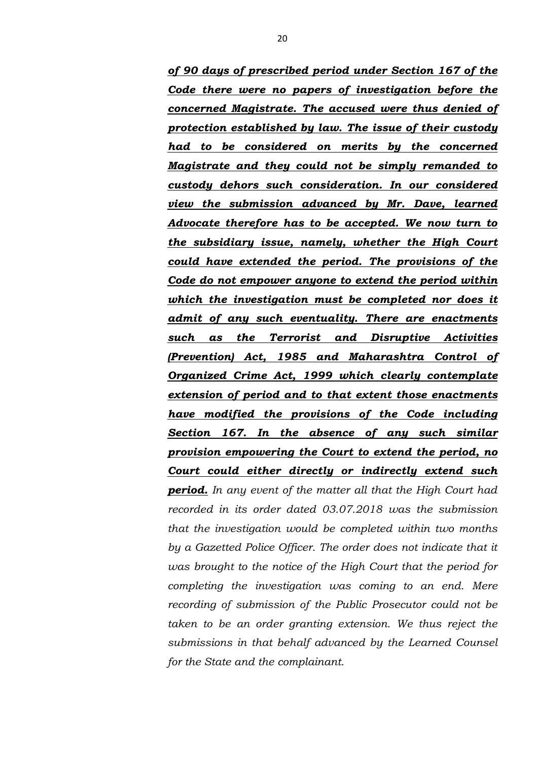*of 90 days of prescribed period under Section 167 of the Code there were no papers of investigation before the concerned Magistrate. The accused were thus denied of protection established by law. The issue of their custody had to be considered on merits by the concerned Magistrate and they could not be simply remanded to custody dehors such consideration. In our considered view the submission advanced by Mr. Dave, learned Advocate therefore has to be accepted. We now turn to the subsidiary issue, namely, whether the High Court could have extended the period. The provisions of the Code do not empower anyone to extend the period within which the investigation must be completed nor does it admit of any such eventuality. There are enactments such as the Terrorist and Disruptive Activities (Prevention) Act, 1985 and Maharashtra Control of Organized Crime Act, 1999 which clearly contemplate extension of period and to that extent those enactments have modified the provisions of the Code including Section 167. In the absence of any such similar provision empowering the Court to extend the period, no Court could either directly or indirectly extend such period. In any event of the matter all that the High Court had recorded in its order dated 03.07.2018 was the submission that the investigation would be completed within two months*  by a Gazetted Police Officer. The order does not indicate that it *was brought to the notice of the High Court that the period for completing the investigation was coming to an end. Mere recording of submission of the Public Prosecutor could not be taken to be an order granting extension. We thus reject the submissions in that behalf advanced by the Learned Counsel for the State and the complainant.*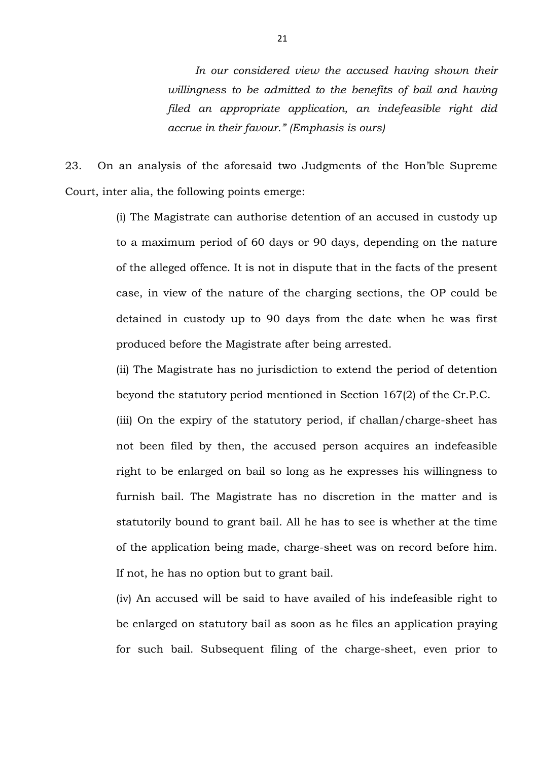*In our considered view the accused having shown their willingness to be admitted to the benefits of bail and having filed an appropriate application, an indefeasible right did accrue in their favour." (Emphasis is ours)*

23. On an analysis of the aforesaid two Judgments of the Hon'ble Supreme Court, inter alia, the following points emerge:

> (i) The Magistrate can authorise detention of an accused in custody up to a maximum period of 60 days or 90 days, depending on the nature of the alleged offence. It is not in dispute that in the facts of the present case, in view of the nature of the charging sections, the OP could be detained in custody up to 90 days from the date when he was first produced before the Magistrate after being arrested.

> (ii) The Magistrate has no jurisdiction to extend the period of detention beyond the statutory period mentioned in Section 167(2) of the Cr.P.C.

> (iii) On the expiry of the statutory period, if challan/charge-sheet has not been filed by then, the accused person acquires an indefeasible right to be enlarged on bail so long as he expresses his willingness to furnish bail. The Magistrate has no discretion in the matter and is statutorily bound to grant bail. All he has to see is whether at the time of the application being made, charge-sheet was on record before him. If not, he has no option but to grant bail.

> (iv) An accused will be said to have availed of his indefeasible right to be enlarged on statutory bail as soon as he files an application praying for such bail. Subsequent filing of the charge-sheet, even prior to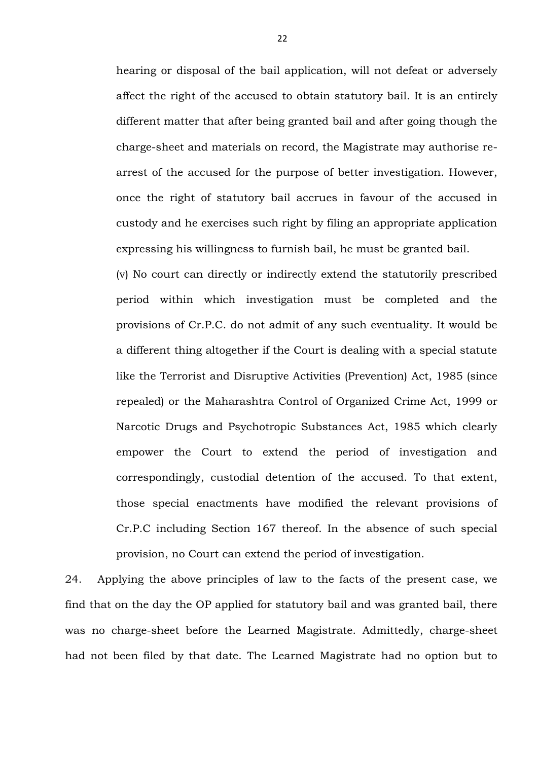hearing or disposal of the bail application, will not defeat or adversely affect the right of the accused to obtain statutory bail. It is an entirely different matter that after being granted bail and after going though the charge-sheet and materials on record, the Magistrate may authorise rearrest of the accused for the purpose of better investigation. However, once the right of statutory bail accrues in favour of the accused in custody and he exercises such right by filing an appropriate application expressing his willingness to furnish bail, he must be granted bail.

(v) No court can directly or indirectly extend the statutorily prescribed period within which investigation must be completed and the provisions of Cr.P.C. do not admit of any such eventuality. It would be a different thing altogether if the Court is dealing with a special statute like the Terrorist and Disruptive Activities (Prevention) Act, 1985 (since repealed) or the Maharashtra Control of Organized Crime Act, 1999 or Narcotic Drugs and Psychotropic Substances Act, 1985 which clearly empower the Court to extend the period of investigation and correspondingly, custodial detention of the accused. To that extent, those special enactments have modified the relevant provisions of Cr.P.C including Section 167 thereof. In the absence of such special provision, no Court can extend the period of investigation.

24. Applying the above principles of law to the facts of the present case, we find that on the day the OP applied for statutory bail and was granted bail, there was no charge-sheet before the Learned Magistrate. Admittedly, charge-sheet had not been filed by that date. The Learned Magistrate had no option but to

22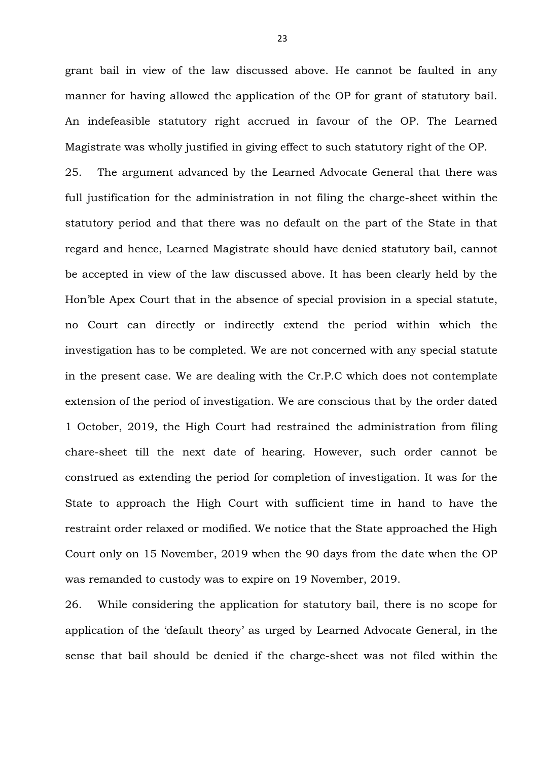grant bail in view of the law discussed above. He cannot be faulted in any manner for having allowed the application of the OP for grant of statutory bail. An indefeasible statutory right accrued in favour of the OP. The Learned Magistrate was wholly justified in giving effect to such statutory right of the OP.

25. The argument advanced by the Learned Advocate General that there was full justification for the administration in not filing the charge-sheet within the statutory period and that there was no default on the part of the State in that regard and hence, Learned Magistrate should have denied statutory bail, cannot be accepted in view of the law discussed above. It has been clearly held by the Hon'ble Apex Court that in the absence of special provision in a special statute, no Court can directly or indirectly extend the period within which the investigation has to be completed. We are not concerned with any special statute in the present case. We are dealing with the Cr.P.C which does not contemplate extension of the period of investigation. We are conscious that by the order dated 1 October, 2019, the High Court had restrained the administration from filing chare-sheet till the next date of hearing. However, such order cannot be construed as extending the period for completion of investigation. It was for the State to approach the High Court with sufficient time in hand to have the restraint order relaxed or modified. We notice that the State approached the High Court only on 15 November, 2019 when the 90 days from the date when the OP was remanded to custody was to expire on 19 November, 2019.

26. While considering the application for statutory bail, there is no scope for application of the 'default theory' as urged by Learned Advocate General, in the sense that bail should be denied if the charge-sheet was not filed within the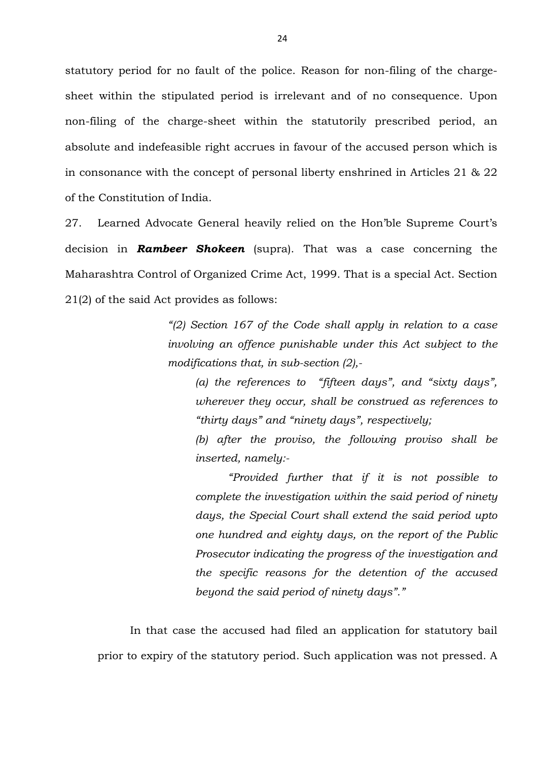statutory period for no fault of the police. Reason for non-filing of the chargesheet within the stipulated period is irrelevant and of no consequence. Upon non-filing of the charge-sheet within the statutorily prescribed period, an absolute and indefeasible right accrues in favour of the accused person which is in consonance with the concept of personal liberty enshrined in Articles 21 & 22 of the Constitution of India.

27. Learned Advocate General heavily relied on the Hon'ble Supreme Court's decision in *Rambeer Shokeen* (supra). That was a case concerning the Maharashtra Control of Organized Crime Act, 1999. That is a special Act. Section 21(2) of the said Act provides as follows:

> *"(2) Section 167 of the Code shall apply in relation to a case involving an offence punishable under this Act subject to the modifications that, in sub-section (2),-*

*(a) the references to "fifteen days", and "sixty days", wherever they occur, shall be construed as references to "thirty days" and "ninety days", respectively;*

*(b) after the proviso, the following proviso shall be inserted, namely:-*

*"Provided further that if it is not possible to complete the investigation within the said period of ninety days, the Special Court shall extend the said period upto one hundred and eighty days, on the report of the Public Prosecutor indicating the progress of the investigation and the specific reasons for the detention of the accused beyond the said period of ninety days"."*

In that case the accused had filed an application for statutory bail prior to expiry of the statutory period. Such application was not pressed. A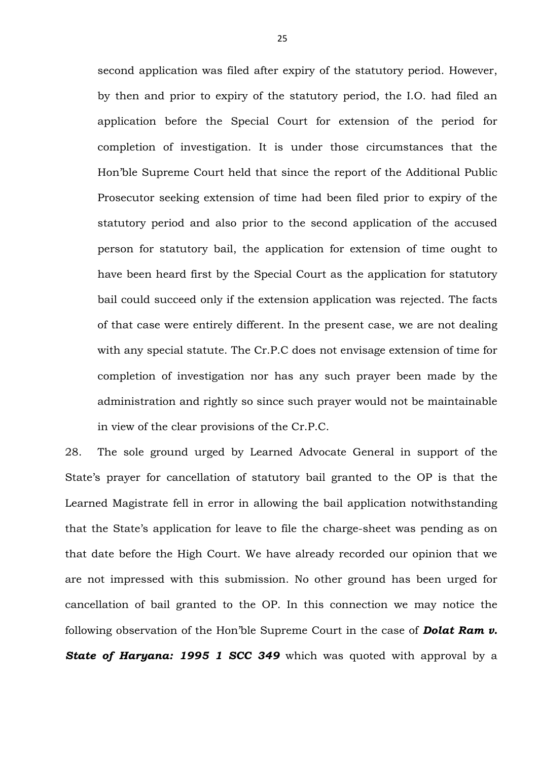second application was filed after expiry of the statutory period. However, by then and prior to expiry of the statutory period, the I.O. had filed an application before the Special Court for extension of the period for completion of investigation. It is under those circumstances that the Hon'ble Supreme Court held that since the report of the Additional Public Prosecutor seeking extension of time had been filed prior to expiry of the statutory period and also prior to the second application of the accused person for statutory bail, the application for extension of time ought to have been heard first by the Special Court as the application for statutory bail could succeed only if the extension application was rejected. The facts of that case were entirely different. In the present case, we are not dealing with any special statute. The Cr.P.C does not envisage extension of time for completion of investigation nor has any such prayer been made by the administration and rightly so since such prayer would not be maintainable in view of the clear provisions of the Cr.P.C.

28. The sole ground urged by Learned Advocate General in support of the State's prayer for cancellation of statutory bail granted to the OP is that the Learned Magistrate fell in error in allowing the bail application notwithstanding that the State's application for leave to file the charge-sheet was pending as on that date before the High Court. We have already recorded our opinion that we are not impressed with this submission. No other ground has been urged for cancellation of bail granted to the OP. In this connection we may notice the following observation of the Hon'ble Supreme Court in the case of *Dolat Ram v.*  **State of Haryana: 1995 1 SCC 349** which was quoted with approval by a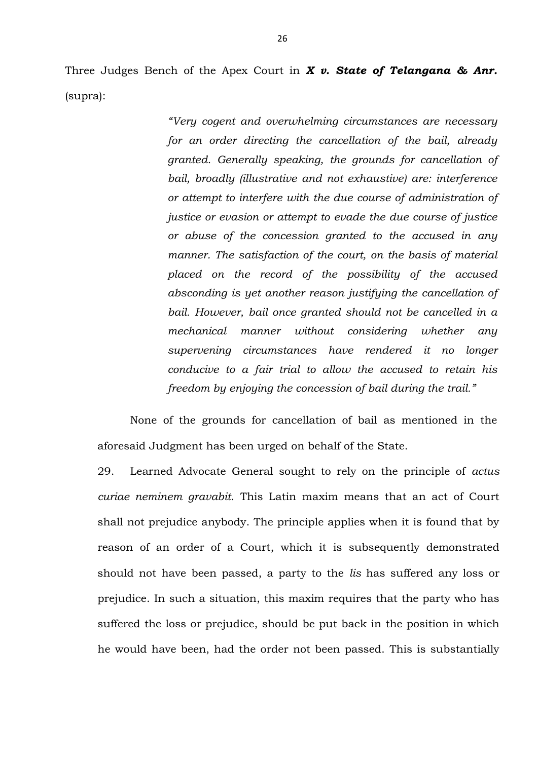Three Judges Bench of the Apex Court in *X v. State of Telangana & Anr.* (supra):

> *"Very cogent and overwhelming circumstances are necessary for an order directing the cancellation of the bail, already granted. Generally speaking, the grounds for cancellation of bail, broadly (illustrative and not exhaustive) are: interference or attempt to interfere with the due course of administration of justice or evasion or attempt to evade the due course of justice or abuse of the concession granted to the accused in any manner. The satisfaction of the court, on the basis of material placed on the record of the possibility of the accused absconding is yet another reason justifying the cancellation of bail. However, bail once granted should not be cancelled in a mechanical manner without considering whether any supervening circumstances have rendered it no longer conducive to a fair trial to allow the accused to retain his freedom by enjoying the concession of bail during the trail."*

None of the grounds for cancellation of bail as mentioned in the aforesaid Judgment has been urged on behalf of the State.

29. Learned Advocate General sought to rely on the principle of *actus curiae neminem gravabit*. This Latin maxim means that an act of Court shall not prejudice anybody. The principle applies when it is found that by reason of an order of a Court, which it is subsequently demonstrated should not have been passed, a party to the *lis* has suffered any loss or prejudice. In such a situation, this maxim requires that the party who has suffered the loss or prejudice, should be put back in the position in which he would have been, had the order not been passed. This is substantially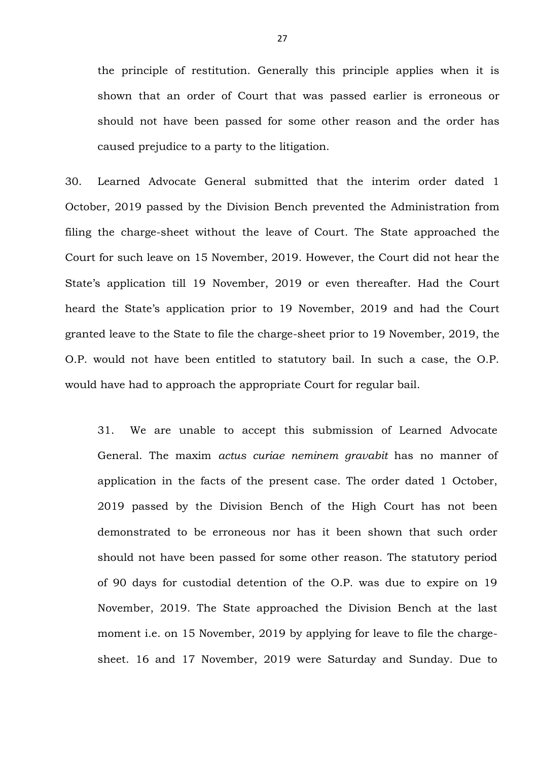the principle of restitution. Generally this principle applies when it is shown that an order of Court that was passed earlier is erroneous or should not have been passed for some other reason and the order has caused prejudice to a party to the litigation.

30. Learned Advocate General submitted that the interim order dated 1 October, 2019 passed by the Division Bench prevented the Administration from filing the charge-sheet without the leave of Court. The State approached the Court for such leave on 15 November, 2019. However, the Court did not hear the State's application till 19 November, 2019 or even thereafter. Had the Court heard the State's application prior to 19 November, 2019 and had the Court granted leave to the State to file the charge-sheet prior to 19 November, 2019, the O.P. would not have been entitled to statutory bail. In such a case, the O.P. would have had to approach the appropriate Court for regular bail.

31. We are unable to accept this submission of Learned Advocate General. The maxim *actus curiae neminem gravabit* has no manner of application in the facts of the present case. The order dated 1 October, 2019 passed by the Division Bench of the High Court has not been demonstrated to be erroneous nor has it been shown that such order should not have been passed for some other reason. The statutory period of 90 days for custodial detention of the O.P. was due to expire on 19 November, 2019. The State approached the Division Bench at the last moment i.e. on 15 November, 2019 by applying for leave to file the chargesheet. 16 and 17 November, 2019 were Saturday and Sunday. Due to